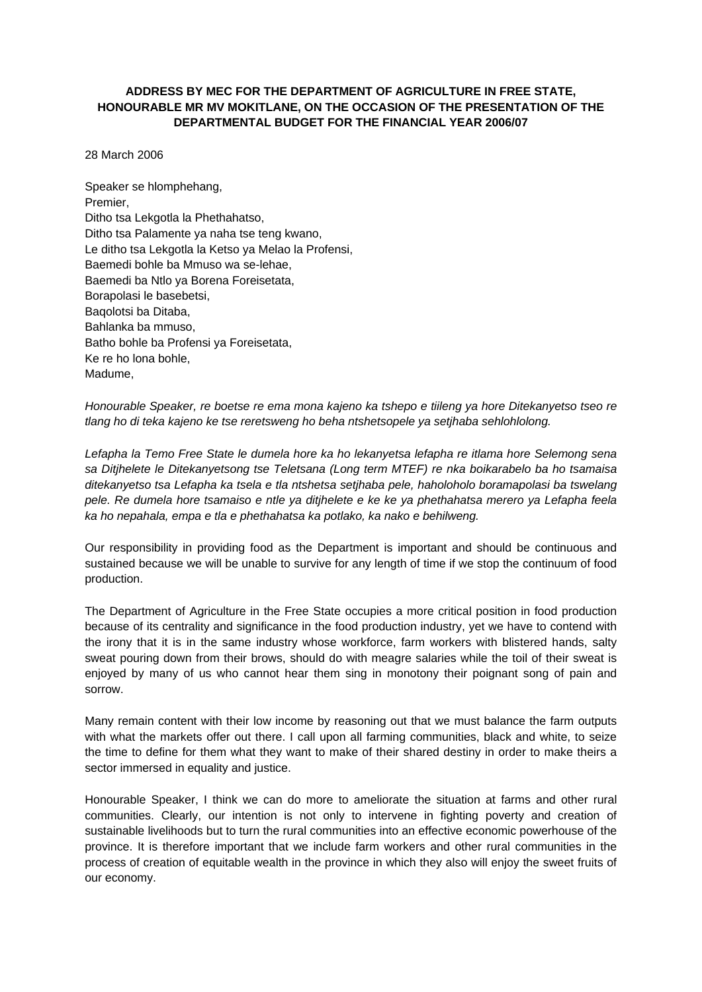# **ADDRESS BY MEC FOR THE DEPARTMENT OF AGRICULTURE IN FREE STATE, HONOURABLE MR MV MOKITLANE, ON THE OCCASION OF THE PRESENTATION OF THE DEPARTMENTAL BUDGET FOR THE FINANCIAL YEAR 2006/07**

28 March 2006

Speaker se hlomphehang, Premier, Ditho tsa Lekgotla la Phethahatso, Ditho tsa Palamente ya naha tse teng kwano, Le ditho tsa Lekgotla la Ketso ya Melao la Profensi, Baemedi bohle ba Mmuso wa se-lehae, Baemedi ba Ntlo ya Borena Foreisetata, Borapolasi le basebetsi, Baqolotsi ba Ditaba, Bahlanka ba mmuso, Batho bohle ba Profensi ya Foreisetata, Ke re ho lona bohle, Madume,

*Honourable Speaker, re boetse re ema mona kajeno ka tshepo e tiileng ya hore Ditekanyetso tseo re tlang ho di teka kajeno ke tse reretsweng ho beha ntshetsopele ya setjhaba sehlohlolong.* 

*Lefapha la Temo Free State le dumela hore ka ho lekanyetsa lefapha re itlama hore Selemong sena sa Ditjhelete le Ditekanyetsong tse Teletsana (Long term MTEF) re nka boikarabelo ba ho tsamaisa ditekanyetso tsa Lefapha ka tsela e tla ntshetsa setjhaba pele, haholoholo boramapolasi ba tswelang pele. Re dumela hore tsamaiso e ntle ya ditjhelete e ke ke ya phethahatsa merero ya Lefapha feela ka ho nepahala, empa e tla e phethahatsa ka potlako, ka nako e behilweng.* 

Our responsibility in providing food as the Department is important and should be continuous and sustained because we will be unable to survive for any length of time if we stop the continuum of food production.

The Department of Agriculture in the Free State occupies a more critical position in food production because of its centrality and significance in the food production industry, yet we have to contend with the irony that it is in the same industry whose workforce, farm workers with blistered hands, salty sweat pouring down from their brows, should do with meagre salaries while the toil of their sweat is enjoyed by many of us who cannot hear them sing in monotony their poignant song of pain and sorrow.

Many remain content with their low income by reasoning out that we must balance the farm outputs with what the markets offer out there. I call upon all farming communities, black and white, to seize the time to define for them what they want to make of their shared destiny in order to make theirs a sector immersed in equality and justice.

Honourable Speaker, I think we can do more to ameliorate the situation at farms and other rural communities. Clearly, our intention is not only to intervene in fighting poverty and creation of sustainable livelihoods but to turn the rural communities into an effective economic powerhouse of the province. It is therefore important that we include farm workers and other rural communities in the process of creation of equitable wealth in the province in which they also will enjoy the sweet fruits of our economy.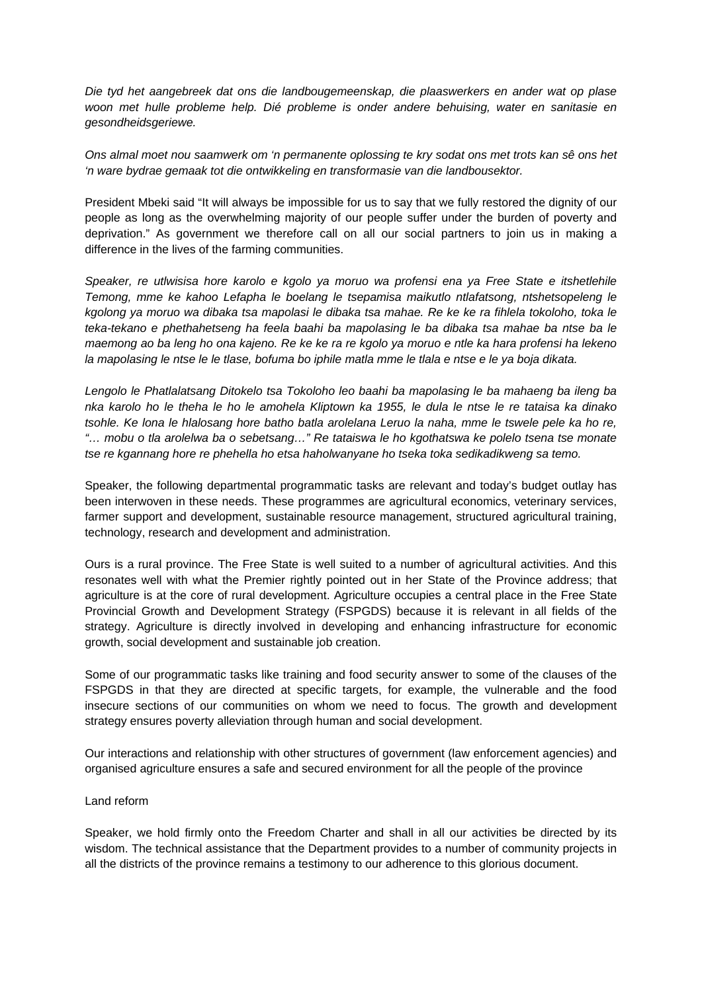*Die tyd het aangebreek dat ons die landbougemeenskap, die plaaswerkers en ander wat op plase woon met hulle probleme help. Dié probleme is onder andere behuising, water en sanitasie en gesondheidsgeriewe.* 

*Ons almal moet nou saamwerk om 'n permanente oplossing te kry sodat ons met trots kan sê ons het 'n ware bydrae gemaak tot die ontwikkeling en transformasie van die landbousektor.* 

President Mbeki said "It will always be impossible for us to say that we fully restored the dignity of our people as long as the overwhelming majority of our people suffer under the burden of poverty and deprivation." As government we therefore call on all our social partners to join us in making a difference in the lives of the farming communities.

*Speaker, re utlwisisa hore karolo e kgolo ya moruo wa profensi ena ya Free State e itshetlehile Temong, mme ke kahoo Lefapha le boelang le tsepamisa maikutlo ntlafatsong, ntshetsopeleng le kgolong ya moruo wa dibaka tsa mapolasi le dibaka tsa mahae. Re ke ke ra fihlela tokoloho, toka le teka-tekano e phethahetseng ha feela baahi ba mapolasing le ba dibaka tsa mahae ba ntse ba le maemong ao ba leng ho ona kajeno. Re ke ke ra re kgolo ya moruo e ntle ka hara profensi ha lekeno la mapolasing le ntse le le tlase, bofuma bo iphile matla mme le tlala e ntse e le ya boja dikata.* 

*Lengolo le Phatlalatsang Ditokelo tsa Tokoloho leo baahi ba mapolasing le ba mahaeng ba ileng ba nka karolo ho le theha le ho le amohela Kliptown ka 1955, le dula le ntse le re tataisa ka dinako tsohle. Ke lona le hlalosang hore batho batla arolelana Leruo la naha, mme le tswele pele ka ho re, "… mobu o tla arolelwa ba o sebetsang…" Re tataiswa le ho kgothatswa ke polelo tsena tse monate tse re kgannang hore re phehella ho etsa haholwanyane ho tseka toka sedikadikweng sa temo.* 

Speaker, the following departmental programmatic tasks are relevant and today's budget outlay has been interwoven in these needs. These programmes are agricultural economics, veterinary services, farmer support and development, sustainable resource management, structured agricultural training, technology, research and development and administration.

Ours is a rural province. The Free State is well suited to a number of agricultural activities. And this resonates well with what the Premier rightly pointed out in her State of the Province address; that agriculture is at the core of rural development. Agriculture occupies a central place in the Free State Provincial Growth and Development Strategy (FSPGDS) because it is relevant in all fields of the strategy. Agriculture is directly involved in developing and enhancing infrastructure for economic growth, social development and sustainable job creation.

Some of our programmatic tasks like training and food security answer to some of the clauses of the FSPGDS in that they are directed at specific targets, for example, the vulnerable and the food insecure sections of our communities on whom we need to focus. The growth and development strategy ensures poverty alleviation through human and social development.

Our interactions and relationship with other structures of government (law enforcement agencies) and organised agriculture ensures a safe and secured environment for all the people of the province

# Land reform

Speaker, we hold firmly onto the Freedom Charter and shall in all our activities be directed by its wisdom. The technical assistance that the Department provides to a number of community projects in all the districts of the province remains a testimony to our adherence to this glorious document.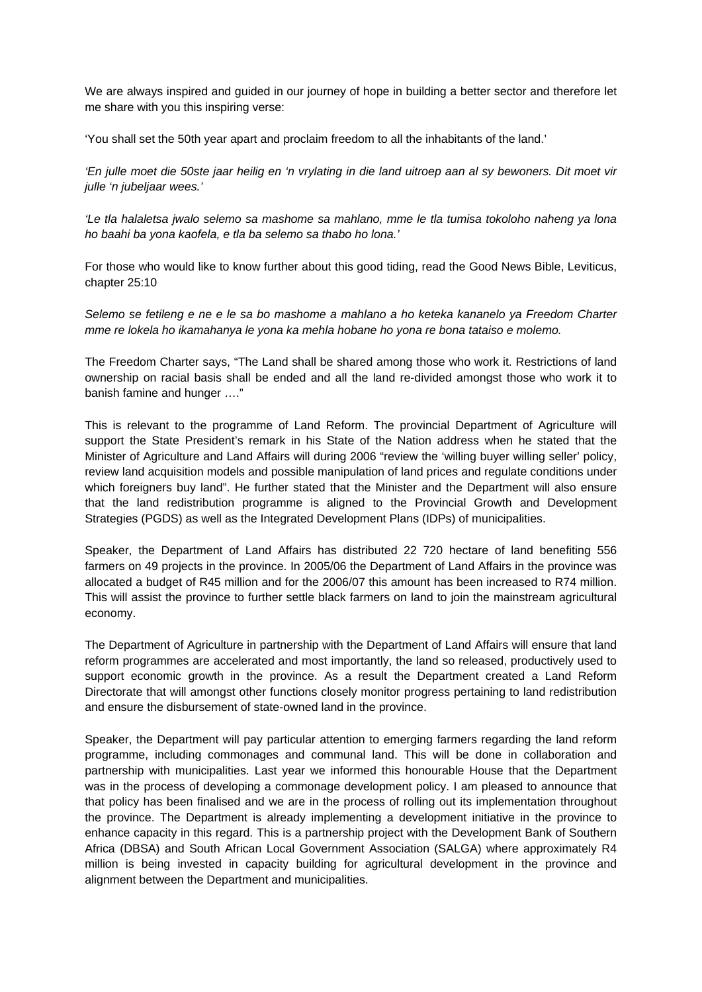We are always inspired and guided in our journey of hope in building a better sector and therefore let me share with you this inspiring verse:

'You shall set the 50th year apart and proclaim freedom to all the inhabitants of the land.'

*'En julle moet die 50ste jaar heilig en 'n vrylating in die land uitroep aan al sy bewoners. Dit moet vir julle 'n jubeljaar wees.'* 

*'Le tla halaletsa jwalo selemo sa mashome sa mahlano, mme le tla tumisa tokoloho naheng ya lona ho baahi ba yona kaofela, e tla ba selemo sa thabo ho lona.'* 

For those who would like to know further about this good tiding, read the Good News Bible, Leviticus, chapter 25:10

*Selemo se fetileng e ne e le sa bo mashome a mahlano a ho keteka kananelo ya Freedom Charter mme re lokela ho ikamahanya le yona ka mehla hobane ho yona re bona tataiso e molemo.* 

The Freedom Charter says, "The Land shall be shared among those who work it. Restrictions of land ownership on racial basis shall be ended and all the land re-divided amongst those who work it to banish famine and hunger …."

This is relevant to the programme of Land Reform. The provincial Department of Agriculture will support the State President's remark in his State of the Nation address when he stated that the Minister of Agriculture and Land Affairs will during 2006 "review the 'willing buyer willing seller' policy, review land acquisition models and possible manipulation of land prices and regulate conditions under which foreigners buy land". He further stated that the Minister and the Department will also ensure that the land redistribution programme is aligned to the Provincial Growth and Development Strategies (PGDS) as well as the Integrated Development Plans (IDPs) of municipalities.

Speaker, the Department of Land Affairs has distributed 22 720 hectare of land benefiting 556 farmers on 49 projects in the province. In 2005/06 the Department of Land Affairs in the province was allocated a budget of R45 million and for the 2006/07 this amount has been increased to R74 million. This will assist the province to further settle black farmers on land to join the mainstream agricultural economy.

The Department of Agriculture in partnership with the Department of Land Affairs will ensure that land reform programmes are accelerated and most importantly, the land so released, productively used to support economic growth in the province. As a result the Department created a Land Reform Directorate that will amongst other functions closely monitor progress pertaining to land redistribution and ensure the disbursement of state-owned land in the province.

Speaker, the Department will pay particular attention to emerging farmers regarding the land reform programme, including commonages and communal land. This will be done in collaboration and partnership with municipalities. Last year we informed this honourable House that the Department was in the process of developing a commonage development policy. I am pleased to announce that that policy has been finalised and we are in the process of rolling out its implementation throughout the province. The Department is already implementing a development initiative in the province to enhance capacity in this regard. This is a partnership project with the Development Bank of Southern Africa (DBSA) and South African Local Government Association (SALGA) where approximately R4 million is being invested in capacity building for agricultural development in the province and alignment between the Department and municipalities.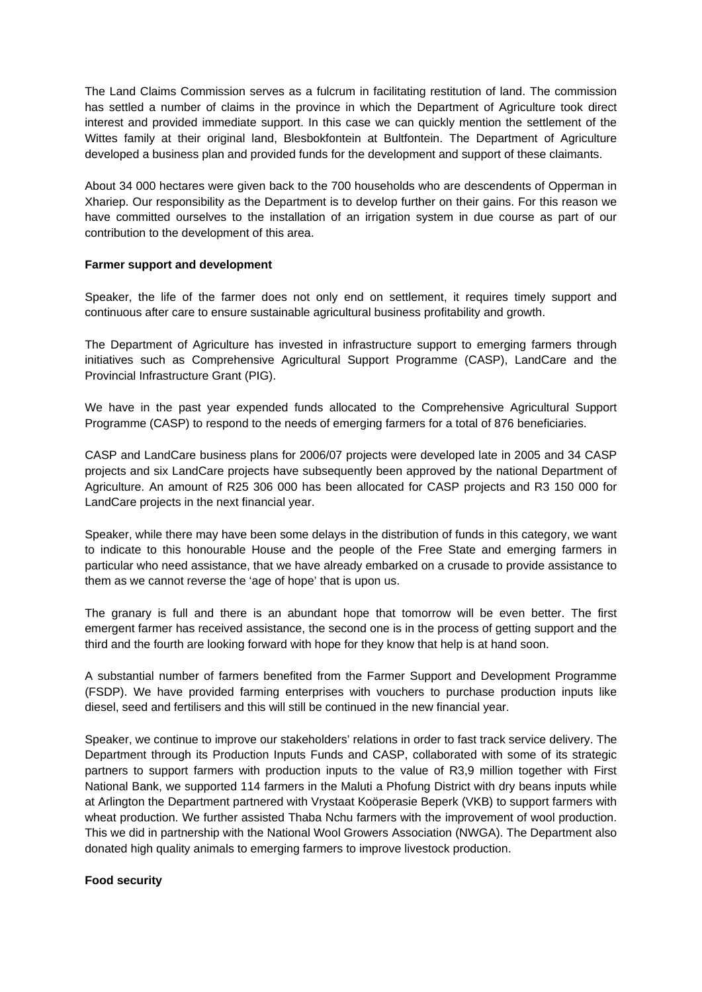The Land Claims Commission serves as a fulcrum in facilitating restitution of land. The commission has settled a number of claims in the province in which the Department of Agriculture took direct interest and provided immediate support. In this case we can quickly mention the settlement of the Wittes family at their original land, Blesbokfontein at Bultfontein. The Department of Agriculture developed a business plan and provided funds for the development and support of these claimants.

About 34 000 hectares were given back to the 700 households who are descendents of Opperman in Xhariep. Our responsibility as the Department is to develop further on their gains. For this reason we have committed ourselves to the installation of an irrigation system in due course as part of our contribution to the development of this area.

### **Farmer support and development**

Speaker, the life of the farmer does not only end on settlement, it requires timely support and continuous after care to ensure sustainable agricultural business profitability and growth.

The Department of Agriculture has invested in infrastructure support to emerging farmers through initiatives such as Comprehensive Agricultural Support Programme (CASP), LandCare and the Provincial Infrastructure Grant (PIG).

We have in the past year expended funds allocated to the Comprehensive Agricultural Support Programme (CASP) to respond to the needs of emerging farmers for a total of 876 beneficiaries.

CASP and LandCare business plans for 2006/07 projects were developed late in 2005 and 34 CASP projects and six LandCare projects have subsequently been approved by the national Department of Agriculture. An amount of R25 306 000 has been allocated for CASP projects and R3 150 000 for LandCare projects in the next financial year.

Speaker, while there may have been some delays in the distribution of funds in this category, we want to indicate to this honourable House and the people of the Free State and emerging farmers in particular who need assistance, that we have already embarked on a crusade to provide assistance to them as we cannot reverse the 'age of hope' that is upon us.

The granary is full and there is an abundant hope that tomorrow will be even better. The first emergent farmer has received assistance, the second one is in the process of getting support and the third and the fourth are looking forward with hope for they know that help is at hand soon.

A substantial number of farmers benefited from the Farmer Support and Development Programme (FSDP). We have provided farming enterprises with vouchers to purchase production inputs like diesel, seed and fertilisers and this will still be continued in the new financial year.

Speaker, we continue to improve our stakeholders' relations in order to fast track service delivery. The Department through its Production Inputs Funds and CASP, collaborated with some of its strategic partners to support farmers with production inputs to the value of R3,9 million together with First National Bank, we supported 114 farmers in the Maluti a Phofung District with dry beans inputs while at Arlington the Department partnered with Vrystaat Koöperasie Beperk (VKB) to support farmers with wheat production. We further assisted Thaba Nchu farmers with the improvement of wool production. This we did in partnership with the National Wool Growers Association (NWGA). The Department also donated high quality animals to emerging farmers to improve livestock production.

#### **Food security**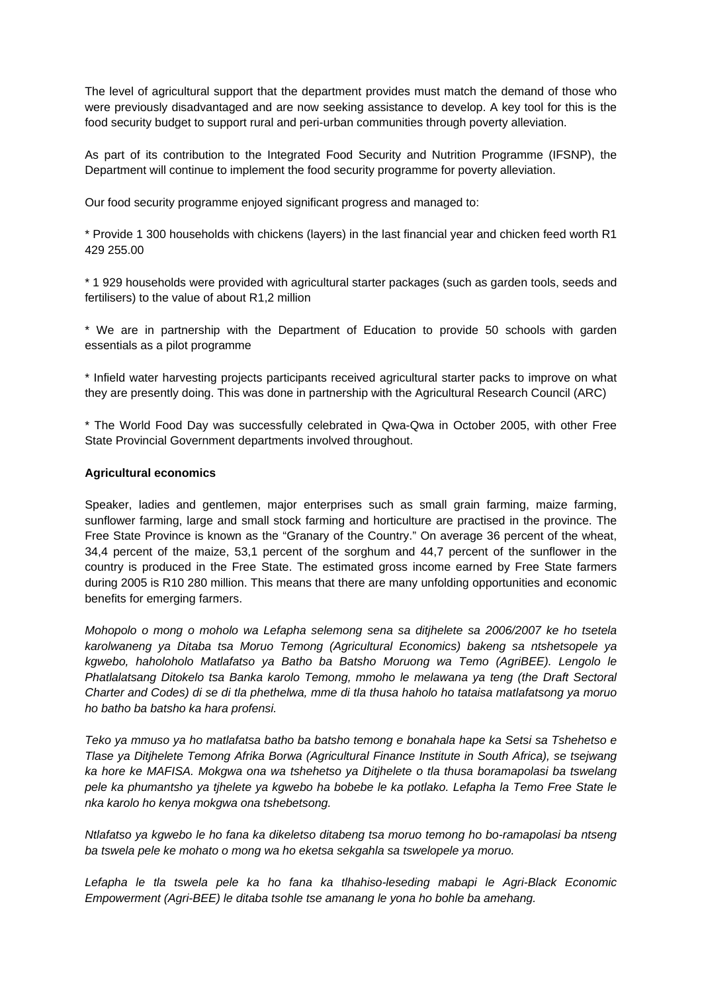The level of agricultural support that the department provides must match the demand of those who were previously disadvantaged and are now seeking assistance to develop. A key tool for this is the food security budget to support rural and peri-urban communities through poverty alleviation.

As part of its contribution to the Integrated Food Security and Nutrition Programme (IFSNP), the Department will continue to implement the food security programme for poverty alleviation.

Our food security programme enjoyed significant progress and managed to:

\* Provide 1 300 households with chickens (layers) in the last financial year and chicken feed worth R1 429 255.00

\* 1 929 households were provided with agricultural starter packages (such as garden tools, seeds and fertilisers) to the value of about R1,2 million

\* We are in partnership with the Department of Education to provide 50 schools with garden essentials as a pilot programme

\* Infield water harvesting projects participants received agricultural starter packs to improve on what they are presently doing. This was done in partnership with the Agricultural Research Council (ARC)

\* The World Food Day was successfully celebrated in Qwa-Qwa in October 2005, with other Free State Provincial Government departments involved throughout.

# **Agricultural economics**

Speaker, ladies and gentlemen, major enterprises such as small grain farming, maize farming, sunflower farming, large and small stock farming and horticulture are practised in the province. The Free State Province is known as the "Granary of the Country." On average 36 percent of the wheat, 34,4 percent of the maize, 53,1 percent of the sorghum and 44,7 percent of the sunflower in the country is produced in the Free State. The estimated gross income earned by Free State farmers during 2005 is R10 280 million. This means that there are many unfolding opportunities and economic benefits for emerging farmers.

*Mohopolo o mong o moholo wa Lefapha selemong sena sa ditjhelete sa 2006/2007 ke ho tsetela karolwaneng ya Ditaba tsa Moruo Temong (Agricultural Economics) bakeng sa ntshetsopele ya kgwebo, haholoholo Matlafatso ya Batho ba Batsho Moruong wa Temo (AgriBEE). Lengolo le Phatlalatsang Ditokelo tsa Banka karolo Temong, mmoho le melawana ya teng (the Draft Sectoral Charter and Codes) di se di tla phethelwa, mme di tla thusa haholo ho tataisa matlafatsong ya moruo ho batho ba batsho ka hara profensi.* 

*Teko ya mmuso ya ho matlafatsa batho ba batsho temong e bonahala hape ka Setsi sa Tshehetso e Tlase ya Ditjhelete Temong Afrika Borwa (Agricultural Finance Institute in South Africa), se tsejwang ka hore ke MAFISA. Mokgwa ona wa tshehetso ya Ditjhelete o tla thusa boramapolasi ba tswelang pele ka phumantsho ya tjhelete ya kgwebo ha bobebe le ka potlako. Lefapha la Temo Free State le nka karolo ho kenya mokgwa ona tshebetsong.* 

*Ntlafatso ya kgwebo le ho fana ka dikeletso ditabeng tsa moruo temong ho bo-ramapolasi ba ntseng ba tswela pele ke mohato o mong wa ho eketsa sekgahla sa tswelopele ya moruo.* 

*Lefapha le tla tswela pele ka ho fana ka tlhahiso-leseding mabapi le Agri-Black Economic Empowerment (Agri-BEE) le ditaba tsohle tse amanang le yona ho bohle ba amehang.*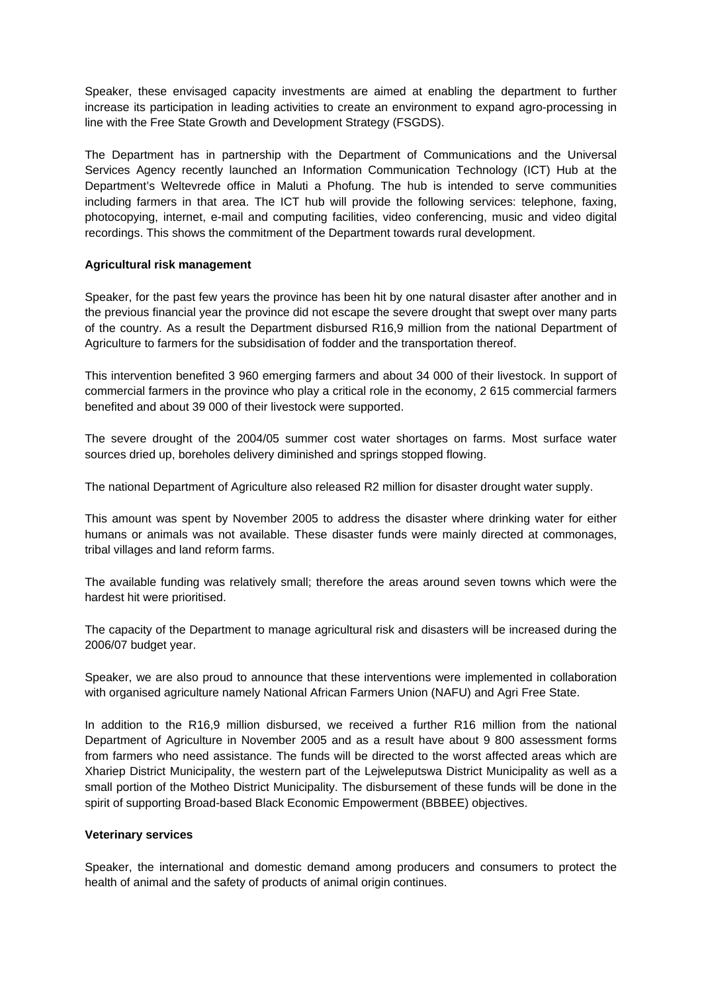Speaker, these envisaged capacity investments are aimed at enabling the department to further increase its participation in leading activities to create an environment to expand agro-processing in line with the Free State Growth and Development Strategy (FSGDS).

The Department has in partnership with the Department of Communications and the Universal Services Agency recently launched an Information Communication Technology (ICT) Hub at the Department's Weltevrede office in Maluti a Phofung. The hub is intended to serve communities including farmers in that area. The ICT hub will provide the following services: telephone, faxing, photocopying, internet, e-mail and computing facilities, video conferencing, music and video digital recordings. This shows the commitment of the Department towards rural development.

# **Agricultural risk management**

Speaker, for the past few years the province has been hit by one natural disaster after another and in the previous financial year the province did not escape the severe drought that swept over many parts of the country. As a result the Department disbursed R16,9 million from the national Department of Agriculture to farmers for the subsidisation of fodder and the transportation thereof.

This intervention benefited 3 960 emerging farmers and about 34 000 of their livestock. In support of commercial farmers in the province who play a critical role in the economy, 2 615 commercial farmers benefited and about 39 000 of their livestock were supported.

The severe drought of the 2004/05 summer cost water shortages on farms. Most surface water sources dried up, boreholes delivery diminished and springs stopped flowing.

The national Department of Agriculture also released R2 million for disaster drought water supply.

This amount was spent by November 2005 to address the disaster where drinking water for either humans or animals was not available. These disaster funds were mainly directed at commonages, tribal villages and land reform farms.

The available funding was relatively small; therefore the areas around seven towns which were the hardest hit were prioritised.

The capacity of the Department to manage agricultural risk and disasters will be increased during the 2006/07 budget year.

Speaker, we are also proud to announce that these interventions were implemented in collaboration with organised agriculture namely National African Farmers Union (NAFU) and Agri Free State.

In addition to the R16,9 million disbursed, we received a further R16 million from the national Department of Agriculture in November 2005 and as a result have about 9 800 assessment forms from farmers who need assistance. The funds will be directed to the worst affected areas which are Xhariep District Municipality, the western part of the Lejweleputswa District Municipality as well as a small portion of the Motheo District Municipality. The disbursement of these funds will be done in the spirit of supporting Broad-based Black Economic Empowerment (BBBEE) objectives.

#### **Veterinary services**

Speaker, the international and domestic demand among producers and consumers to protect the health of animal and the safety of products of animal origin continues.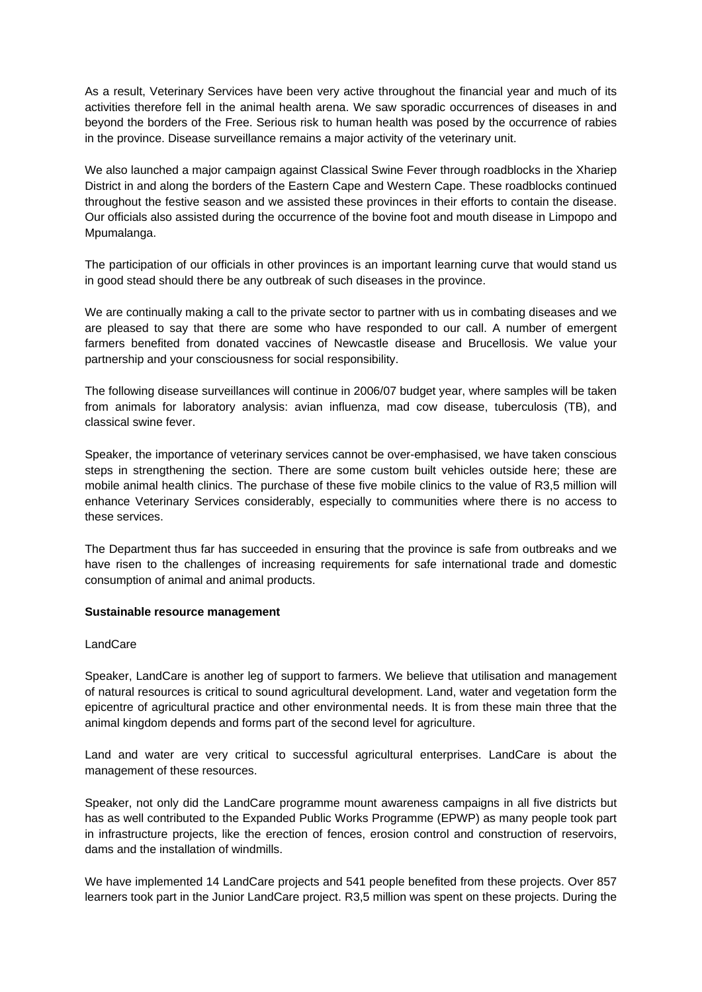As a result, Veterinary Services have been very active throughout the financial year and much of its activities therefore fell in the animal health arena. We saw sporadic occurrences of diseases in and beyond the borders of the Free. Serious risk to human health was posed by the occurrence of rabies in the province. Disease surveillance remains a major activity of the veterinary unit.

We also launched a major campaign against Classical Swine Fever through roadblocks in the Xhariep District in and along the borders of the Eastern Cape and Western Cape. These roadblocks continued throughout the festive season and we assisted these provinces in their efforts to contain the disease. Our officials also assisted during the occurrence of the bovine foot and mouth disease in Limpopo and Mpumalanga.

The participation of our officials in other provinces is an important learning curve that would stand us in good stead should there be any outbreak of such diseases in the province.

We are continually making a call to the private sector to partner with us in combating diseases and we are pleased to say that there are some who have responded to our call. A number of emergent farmers benefited from donated vaccines of Newcastle disease and Brucellosis. We value your partnership and your consciousness for social responsibility.

The following disease surveillances will continue in 2006/07 budget year, where samples will be taken from animals for laboratory analysis: avian influenza, mad cow disease, tuberculosis (TB), and classical swine fever.

Speaker, the importance of veterinary services cannot be over-emphasised, we have taken conscious steps in strengthening the section. There are some custom built vehicles outside here; these are mobile animal health clinics. The purchase of these five mobile clinics to the value of R3,5 million will enhance Veterinary Services considerably, especially to communities where there is no access to these services.

The Department thus far has succeeded in ensuring that the province is safe from outbreaks and we have risen to the challenges of increasing requirements for safe international trade and domestic consumption of animal and animal products.

# **Sustainable resource management**

# LandCare

Speaker, LandCare is another leg of support to farmers. We believe that utilisation and management of natural resources is critical to sound agricultural development. Land, water and vegetation form the epicentre of agricultural practice and other environmental needs. It is from these main three that the animal kingdom depends and forms part of the second level for agriculture.

Land and water are very critical to successful agricultural enterprises. LandCare is about the management of these resources.

Speaker, not only did the LandCare programme mount awareness campaigns in all five districts but has as well contributed to the Expanded Public Works Programme (EPWP) as many people took part in infrastructure projects, like the erection of fences, erosion control and construction of reservoirs, dams and the installation of windmills.

We have implemented 14 LandCare projects and 541 people benefited from these projects. Over 857 learners took part in the Junior LandCare project. R3,5 million was spent on these projects. During the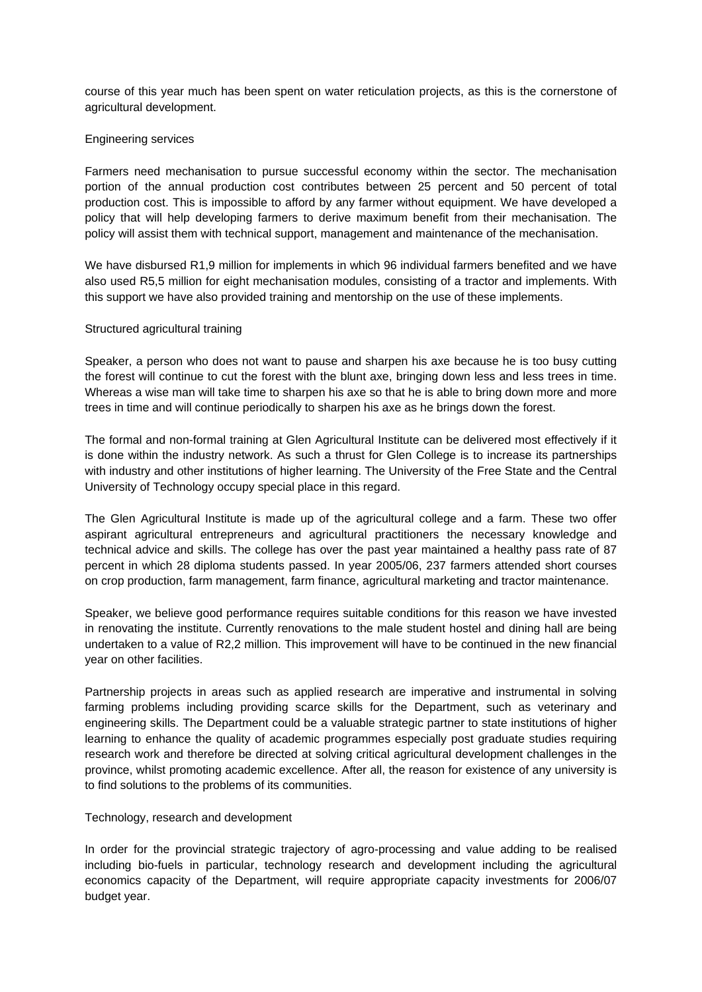course of this year much has been spent on water reticulation projects, as this is the cornerstone of agricultural development.

### Engineering services

Farmers need mechanisation to pursue successful economy within the sector. The mechanisation portion of the annual production cost contributes between 25 percent and 50 percent of total production cost. This is impossible to afford by any farmer without equipment. We have developed a policy that will help developing farmers to derive maximum benefit from their mechanisation. The policy will assist them with technical support, management and maintenance of the mechanisation.

We have disbursed R1,9 million for implements in which 96 individual farmers benefited and we have also used R5,5 million for eight mechanisation modules, consisting of a tractor and implements. With this support we have also provided training and mentorship on the use of these implements.

### Structured agricultural training

Speaker, a person who does not want to pause and sharpen his axe because he is too busy cutting the forest will continue to cut the forest with the blunt axe, bringing down less and less trees in time. Whereas a wise man will take time to sharpen his axe so that he is able to bring down more and more trees in time and will continue periodically to sharpen his axe as he brings down the forest.

The formal and non-formal training at Glen Agricultural Institute can be delivered most effectively if it is done within the industry network. As such a thrust for Glen College is to increase its partnerships with industry and other institutions of higher learning. The University of the Free State and the Central University of Technology occupy special place in this regard.

The Glen Agricultural Institute is made up of the agricultural college and a farm. These two offer aspirant agricultural entrepreneurs and agricultural practitioners the necessary knowledge and technical advice and skills. The college has over the past year maintained a healthy pass rate of 87 percent in which 28 diploma students passed. In year 2005/06, 237 farmers attended short courses on crop production, farm management, farm finance, agricultural marketing and tractor maintenance.

Speaker, we believe good performance requires suitable conditions for this reason we have invested in renovating the institute. Currently renovations to the male student hostel and dining hall are being undertaken to a value of R2,2 million. This improvement will have to be continued in the new financial year on other facilities.

Partnership projects in areas such as applied research are imperative and instrumental in solving farming problems including providing scarce skills for the Department, such as veterinary and engineering skills. The Department could be a valuable strategic partner to state institutions of higher learning to enhance the quality of academic programmes especially post graduate studies requiring research work and therefore be directed at solving critical agricultural development challenges in the province, whilst promoting academic excellence. After all, the reason for existence of any university is to find solutions to the problems of its communities.

#### Technology, research and development

In order for the provincial strategic trajectory of agro-processing and value adding to be realised including bio-fuels in particular, technology research and development including the agricultural economics capacity of the Department, will require appropriate capacity investments for 2006/07 budget year.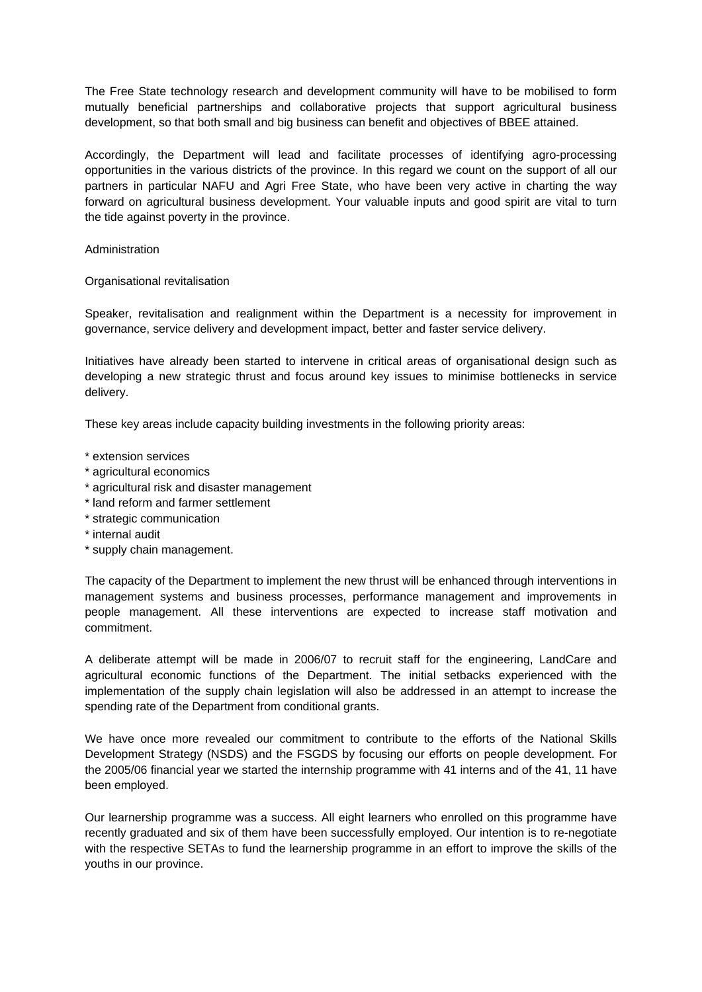The Free State technology research and development community will have to be mobilised to form mutually beneficial partnerships and collaborative projects that support agricultural business development, so that both small and big business can benefit and objectives of BBEE attained.

Accordingly, the Department will lead and facilitate processes of identifying agro-processing opportunities in the various districts of the province. In this regard we count on the support of all our partners in particular NAFU and Agri Free State, who have been very active in charting the way forward on agricultural business development. Your valuable inputs and good spirit are vital to turn the tide against poverty in the province.

Administration

Organisational revitalisation

Speaker, revitalisation and realignment within the Department is a necessity for improvement in governance, service delivery and development impact, better and faster service delivery.

Initiatives have already been started to intervene in critical areas of organisational design such as developing a new strategic thrust and focus around key issues to minimise bottlenecks in service delivery.

These key areas include capacity building investments in the following priority areas:

- \* extension services
- \* agricultural economics
- \* agricultural risk and disaster management
- \* land reform and farmer settlement
- \* strategic communication
- \* internal audit
- \* supply chain management.

The capacity of the Department to implement the new thrust will be enhanced through interventions in management systems and business processes, performance management and improvements in people management. All these interventions are expected to increase staff motivation and commitment.

A deliberate attempt will be made in 2006/07 to recruit staff for the engineering, LandCare and agricultural economic functions of the Department. The initial setbacks experienced with the implementation of the supply chain legislation will also be addressed in an attempt to increase the spending rate of the Department from conditional grants.

We have once more revealed our commitment to contribute to the efforts of the National Skills Development Strategy (NSDS) and the FSGDS by focusing our efforts on people development. For the 2005/06 financial year we started the internship programme with 41 interns and of the 41, 11 have been employed.

Our learnership programme was a success. All eight learners who enrolled on this programme have recently graduated and six of them have been successfully employed. Our intention is to re-negotiate with the respective SETAs to fund the learnership programme in an effort to improve the skills of the youths in our province.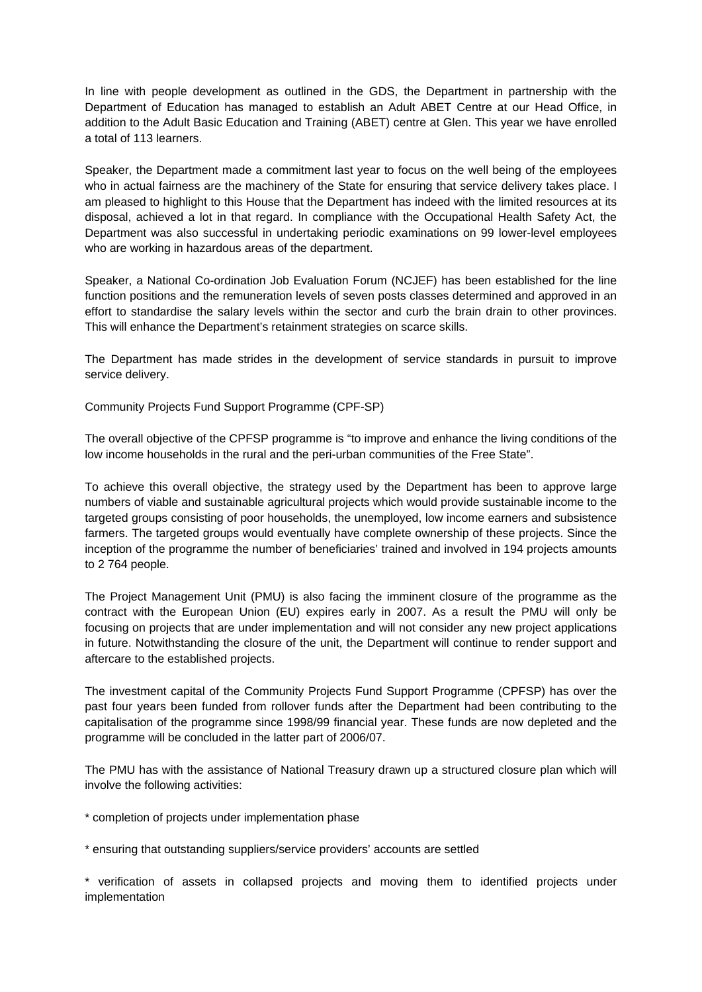In line with people development as outlined in the GDS, the Department in partnership with the Department of Education has managed to establish an Adult ABET Centre at our Head Office, in addition to the Adult Basic Education and Training (ABET) centre at Glen. This year we have enrolled a total of 113 learners.

Speaker, the Department made a commitment last year to focus on the well being of the employees who in actual fairness are the machinery of the State for ensuring that service delivery takes place. I am pleased to highlight to this House that the Department has indeed with the limited resources at its disposal, achieved a lot in that regard. In compliance with the Occupational Health Safety Act, the Department was also successful in undertaking periodic examinations on 99 lower-level employees who are working in hazardous areas of the department.

Speaker, a National Co-ordination Job Evaluation Forum (NCJEF) has been established for the line function positions and the remuneration levels of seven posts classes determined and approved in an effort to standardise the salary levels within the sector and curb the brain drain to other provinces. This will enhance the Department's retainment strategies on scarce skills.

The Department has made strides in the development of service standards in pursuit to improve service delivery.

Community Projects Fund Support Programme (CPF-SP)

The overall objective of the CPFSP programme is "to improve and enhance the living conditions of the low income households in the rural and the peri-urban communities of the Free State".

To achieve this overall objective, the strategy used by the Department has been to approve large numbers of viable and sustainable agricultural projects which would provide sustainable income to the targeted groups consisting of poor households, the unemployed, low income earners and subsistence farmers. The targeted groups would eventually have complete ownership of these projects. Since the inception of the programme the number of beneficiaries' trained and involved in 194 projects amounts to 2 764 people.

The Project Management Unit (PMU) is also facing the imminent closure of the programme as the contract with the European Union (EU) expires early in 2007. As a result the PMU will only be focusing on projects that are under implementation and will not consider any new project applications in future. Notwithstanding the closure of the unit, the Department will continue to render support and aftercare to the established projects.

The investment capital of the Community Projects Fund Support Programme (CPFSP) has over the past four years been funded from rollover funds after the Department had been contributing to the capitalisation of the programme since 1998/99 financial year. These funds are now depleted and the programme will be concluded in the latter part of 2006/07.

The PMU has with the assistance of National Treasury drawn up a structured closure plan which will involve the following activities:

- \* completion of projects under implementation phase
- \* ensuring that outstanding suppliers/service providers' accounts are settled

\* verification of assets in collapsed projects and moving them to identified projects under implementation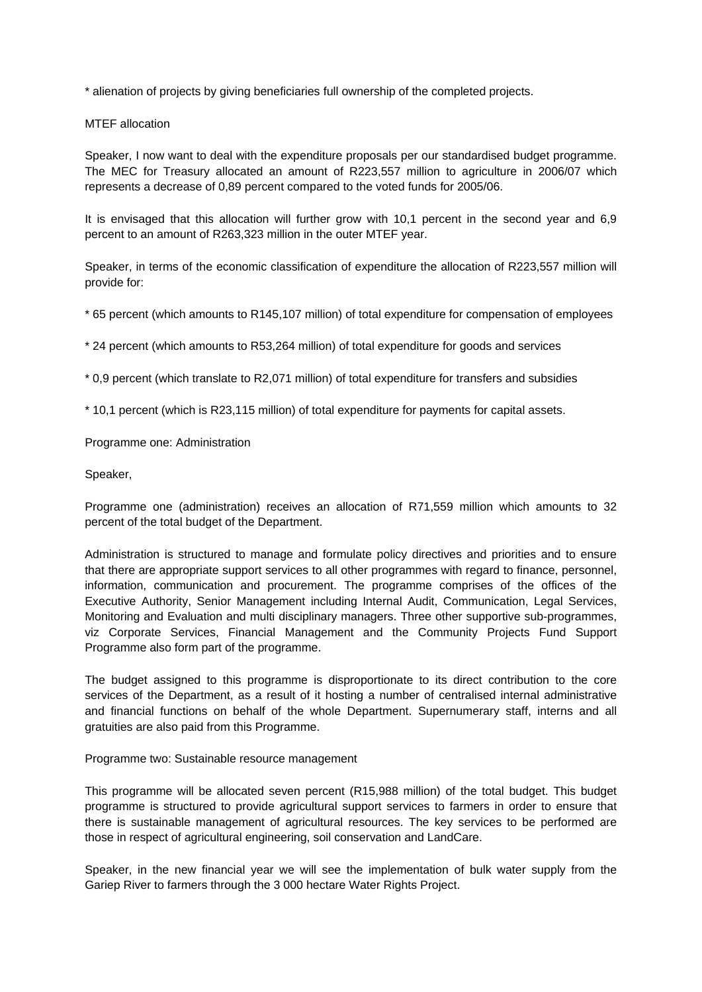\* alienation of projects by giving beneficiaries full ownership of the completed projects.

MTEF allocation

Speaker, I now want to deal with the expenditure proposals per our standardised budget programme. The MEC for Treasury allocated an amount of R223,557 million to agriculture in 2006/07 which represents a decrease of 0,89 percent compared to the voted funds for 2005/06.

It is envisaged that this allocation will further grow with 10,1 percent in the second year and 6,9 percent to an amount of R263,323 million in the outer MTEF year.

Speaker, in terms of the economic classification of expenditure the allocation of R223,557 million will provide for:

\* 65 percent (which amounts to R145,107 million) of total expenditure for compensation of employees

\* 24 percent (which amounts to R53,264 million) of total expenditure for goods and services

\* 0,9 percent (which translate to R2,071 million) of total expenditure for transfers and subsidies

\* 10,1 percent (which is R23,115 million) of total expenditure for payments for capital assets.

Programme one: Administration

Speaker,

Programme one (administration) receives an allocation of R71,559 million which amounts to 32 percent of the total budget of the Department.

Administration is structured to manage and formulate policy directives and priorities and to ensure that there are appropriate support services to all other programmes with regard to finance, personnel, information, communication and procurement. The programme comprises of the offices of the Executive Authority, Senior Management including Internal Audit, Communication, Legal Services, Monitoring and Evaluation and multi disciplinary managers. Three other supportive sub-programmes, viz Corporate Services, Financial Management and the Community Projects Fund Support Programme also form part of the programme.

The budget assigned to this programme is disproportionate to its direct contribution to the core services of the Department, as a result of it hosting a number of centralised internal administrative and financial functions on behalf of the whole Department. Supernumerary staff, interns and all gratuities are also paid from this Programme.

Programme two: Sustainable resource management

This programme will be allocated seven percent (R15,988 million) of the total budget. This budget programme is structured to provide agricultural support services to farmers in order to ensure that there is sustainable management of agricultural resources. The key services to be performed are those in respect of agricultural engineering, soil conservation and LandCare.

Speaker, in the new financial year we will see the implementation of bulk water supply from the Gariep River to farmers through the 3 000 hectare Water Rights Project.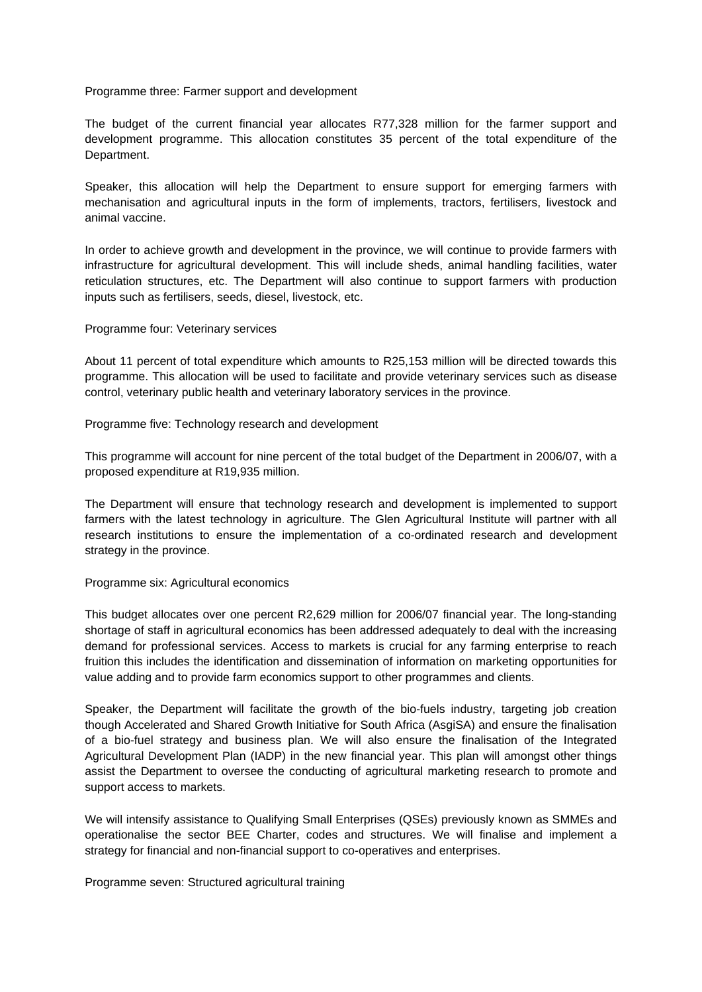Programme three: Farmer support and development

The budget of the current financial year allocates R77,328 million for the farmer support and development programme. This allocation constitutes 35 percent of the total expenditure of the Department.

Speaker, this allocation will help the Department to ensure support for emerging farmers with mechanisation and agricultural inputs in the form of implements, tractors, fertilisers, livestock and animal vaccine.

In order to achieve growth and development in the province, we will continue to provide farmers with infrastructure for agricultural development. This will include sheds, animal handling facilities, water reticulation structures, etc. The Department will also continue to support farmers with production inputs such as fertilisers, seeds, diesel, livestock, etc.

Programme four: Veterinary services

About 11 percent of total expenditure which amounts to R25,153 million will be directed towards this programme. This allocation will be used to facilitate and provide veterinary services such as disease control, veterinary public health and veterinary laboratory services in the province.

Programme five: Technology research and development

This programme will account for nine percent of the total budget of the Department in 2006/07, with a proposed expenditure at R19,935 million.

The Department will ensure that technology research and development is implemented to support farmers with the latest technology in agriculture. The Glen Agricultural Institute will partner with all research institutions to ensure the implementation of a co-ordinated research and development strategy in the province.

#### Programme six: Agricultural economics

This budget allocates over one percent R2,629 million for 2006/07 financial year. The long-standing shortage of staff in agricultural economics has been addressed adequately to deal with the increasing demand for professional services. Access to markets is crucial for any farming enterprise to reach fruition this includes the identification and dissemination of information on marketing opportunities for value adding and to provide farm economics support to other programmes and clients.

Speaker, the Department will facilitate the growth of the bio-fuels industry, targeting job creation though Accelerated and Shared Growth Initiative for South Africa (AsgiSA) and ensure the finalisation of a bio-fuel strategy and business plan. We will also ensure the finalisation of the Integrated Agricultural Development Plan (IADP) in the new financial year. This plan will amongst other things assist the Department to oversee the conducting of agricultural marketing research to promote and support access to markets.

We will intensify assistance to Qualifying Small Enterprises (QSEs) previously known as SMMEs and operationalise the sector BEE Charter, codes and structures. We will finalise and implement a strategy for financial and non-financial support to co-operatives and enterprises.

Programme seven: Structured agricultural training